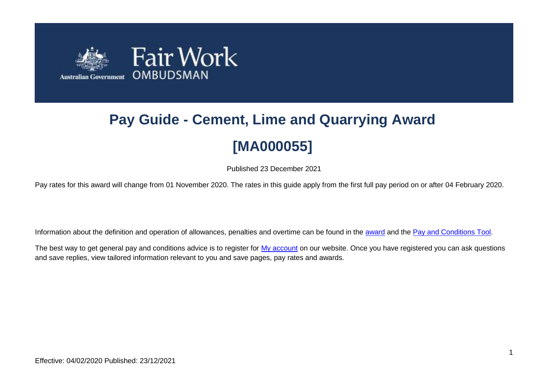

# **Pay Guide - Cement, Lime and Quarrying Award [MA000055]**

Published 23 December 2021

Pay rates for this award will change from 01 November 2020. The rates in this guide apply from the first full pay period on or after 04 February 2020.

Information about the definition and operation of allowances, penalties and overtime can be found in the [award](https://www.fairwork.gov.au/awards-and-agreements/awards/list-of-awards) and the [Pay and Conditions Tool.](https://calculate.fairwork.gov.au/)

The best way to get general pay and conditions advice is to register for [My account](https://www.fairwork.gov.au/my-account/registerpage.aspx) on our website. Once you have registered you can ask questions and save replies, view tailored information relevant to you and save pages, pay rates and awards.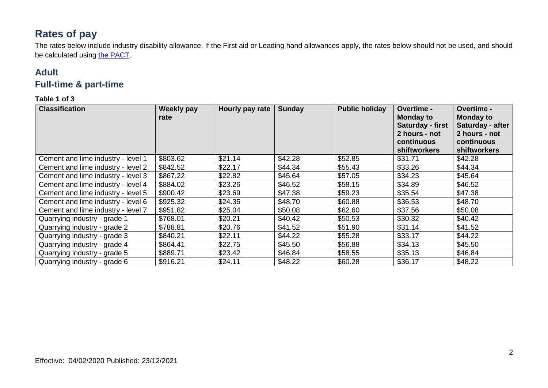# **Rates of pay**

The rates below include industry disability allowance. If the First aid or Leading hand allowances apply, the rates below should not be used, and should be calculated using [the PACT.](https://calculate.fairwork.gov.au/)

# **Adult**

### **Full-time & part-time**

**Table 1 of 3**

| <b>Classification</b>              | <b>Weekly pay</b><br>rate | Hourly pay rate | <b>Sunday</b> | <b>Public holiday</b> | Overtime -<br><b>Monday to</b><br><b>Saturday - first</b><br>2 hours - not<br>continuous<br><b>shiftworkers</b> | <b>Overtime -</b><br><b>Monday to</b><br>Saturday - after<br>2 hours - not<br>continuous<br><b>shiftworkers</b> |
|------------------------------------|---------------------------|-----------------|---------------|-----------------------|-----------------------------------------------------------------------------------------------------------------|-----------------------------------------------------------------------------------------------------------------|
| Cement and lime industry - level 1 | \$803.62                  | \$21.14         | \$42.28       | \$52.85               | \$31.71                                                                                                         | \$42.28                                                                                                         |
| Cement and lime industry - level 2 | \$842.52                  | \$22.17         | \$44.34       | \$55.43               | \$33.26                                                                                                         | \$44.34                                                                                                         |
| Cement and lime industry - level 3 | \$867.22                  | \$22.82         | \$45.64       | \$57.05               | \$34.23                                                                                                         | \$45.64                                                                                                         |
| Cement and lime industry - level 4 | \$884.02                  | \$23.26         | \$46.52       | \$58.15               | \$34.89                                                                                                         | \$46.52                                                                                                         |
| Cement and lime industry - level 5 | \$900.42                  | \$23.69         | \$47.38       | \$59.23               | \$35.54                                                                                                         | \$47.38                                                                                                         |
| Cement and lime industry - level 6 | \$925.32                  | \$24.35         | \$48.70       | \$60.88               | \$36.53                                                                                                         | \$48.70                                                                                                         |
| Cement and lime industry - level 7 | \$951.82                  | \$25.04         | \$50.08       | \$62.60               | \$37.56                                                                                                         | \$50.08                                                                                                         |
| Quarrying industry - grade 1       | \$768.01                  | \$20.21         | \$40.42       | \$50.53               | \$30.32                                                                                                         | \$40.42                                                                                                         |
| Quarrying industry - grade 2       | \$788.81                  | \$20.76         | \$41.52       | \$51.90               | \$31.14                                                                                                         | \$41.52                                                                                                         |
| Quarrying industry - grade 3       | \$840.21                  | \$22.11         | \$44.22       | \$55.28               | \$33.17                                                                                                         | \$44.22                                                                                                         |
| Quarrying industry - grade 4       | \$864.41                  | \$22.75         | \$45.50       | \$56.88               | \$34.13                                                                                                         | \$45.50                                                                                                         |
| Quarrying industry - grade 5       | \$889.71                  | \$23.42         | \$46.84       | \$58.55               | \$35.13                                                                                                         | \$46.84                                                                                                         |
| Quarrying industry - grade 6       | \$916.21                  | \$24.11         | \$48.22       | \$60.28               | \$36.17                                                                                                         | \$48.22                                                                                                         |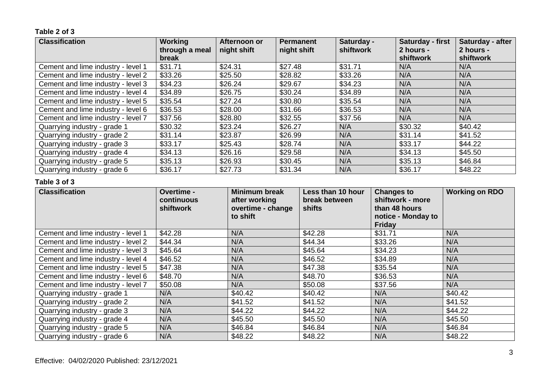**Table 2 of 3**

| <b>Classification</b>              | <b>Working</b><br>through a meal | Afternoon or<br>night shift | <b>Permanent</b><br>night shift | Saturday -<br>shiftwork | Saturday - first<br>2 hours - | Saturday - after<br>2 hours - |
|------------------------------------|----------------------------------|-----------------------------|---------------------------------|-------------------------|-------------------------------|-------------------------------|
|                                    | break                            |                             |                                 |                         | shiftwork                     | shiftwork                     |
| Cement and lime industry - level 1 | \$31.71                          | \$24.31                     | \$27.48                         | \$31.71                 | N/A                           | N/A                           |
| Cement and lime industry - level 2 | \$33.26                          | \$25.50                     | \$28.82                         | \$33.26                 | N/A                           | N/A                           |
| Cement and lime industry - level 3 | \$34.23                          | \$26.24                     | \$29.67                         | \$34.23                 | N/A                           | N/A                           |
| Cement and lime industry - level 4 | \$34.89                          | \$26.75                     | \$30.24                         | \$34.89                 | N/A                           | N/A                           |
| Cement and lime industry - level 5 | \$35.54                          | \$27.24                     | \$30.80                         | \$35.54                 | N/A                           | N/A                           |
| Cement and lime industry - level 6 | \$36.53                          | \$28.00                     | \$31.66                         | \$36.53                 | N/A                           | N/A                           |
| Cement and lime industry - level 7 | \$37.56                          | \$28.80                     | \$32.55                         | \$37.56                 | N/A                           | N/A                           |
| Quarrying industry - grade 1       | \$30.32                          | \$23.24                     | \$26.27                         | N/A                     | \$30.32                       | \$40.42                       |
| Quarrying industry - grade 2       | \$31.14                          | \$23.87                     | \$26.99                         | N/A                     | \$31.14                       | \$41.52                       |
| Quarrying industry - grade 3       | \$33.17                          | \$25.43                     | \$28.74                         | N/A                     | \$33.17                       | \$44.22                       |
| Quarrying industry - grade 4       | \$34.13                          | \$26.16                     | \$29.58                         | N/A                     | \$34.13                       | \$45.50                       |
| Quarrying industry - grade 5       | \$35.13                          | \$26.93                     | \$30.45                         | N/A                     | \$35.13                       | \$46.84                       |
| Quarrying industry - grade 6       | \$36.17                          | \$27.73                     | \$31.34                         | N/A                     | \$36.17                       | \$48.22                       |

#### **Table 3 of 3**

| <b>Classification</b>              | Overtime -<br>continuous<br>shiftwork | <b>Minimum break</b><br>after working<br>overtime - change<br>to shift | Less than 10 hour<br>break between<br>shifts | <b>Changes to</b><br>shiftwork - more<br>than 48 hours<br>notice - Monday to<br><b>Friday</b> | <b>Working on RDO</b> |
|------------------------------------|---------------------------------------|------------------------------------------------------------------------|----------------------------------------------|-----------------------------------------------------------------------------------------------|-----------------------|
| Cement and lime industry - level 1 | \$42.28                               | N/A                                                                    | \$42.28                                      | \$31.71                                                                                       | N/A                   |
| Cement and lime industry - level 2 | \$44.34                               | N/A                                                                    | \$44.34                                      | \$33.26                                                                                       | N/A                   |
| Cement and lime industry - level 3 | \$45.64                               | N/A                                                                    | \$45.64                                      | \$34.23                                                                                       | N/A                   |
| Cement and lime industry - level 4 | \$46.52                               | N/A                                                                    | \$46.52                                      | \$34.89                                                                                       | N/A                   |
| Cement and lime industry - level 5 | \$47.38                               | N/A                                                                    | \$47.38                                      | \$35.54                                                                                       | N/A                   |
| Cement and lime industry - level 6 | \$48.70                               | N/A                                                                    | \$48.70                                      | \$36.53                                                                                       | N/A                   |
| Cement and lime industry - level 7 | \$50.08                               | N/A                                                                    | \$50.08                                      | \$37.56                                                                                       | N/A                   |
| Quarrying industry - grade 1       | N/A                                   | \$40.42                                                                | \$40.42                                      | N/A                                                                                           | \$40.42               |
| Quarrying industry - grade 2       | N/A                                   | \$41.52                                                                | \$41.52                                      | N/A                                                                                           | \$41.52               |
| Quarrying industry - grade 3       | N/A                                   | \$44.22                                                                | \$44.22                                      | N/A                                                                                           | \$44.22               |
| Quarrying industry - grade 4       | N/A                                   | \$45.50                                                                | \$45.50                                      | N/A                                                                                           | \$45.50               |
| Quarrying industry - grade 5       | N/A                                   | \$46.84                                                                | \$46.84                                      | N/A                                                                                           | \$46.84               |
| Quarrying industry - grade 6       | N/A                                   | \$48.22                                                                | \$48.22                                      | N/A                                                                                           | \$48.22               |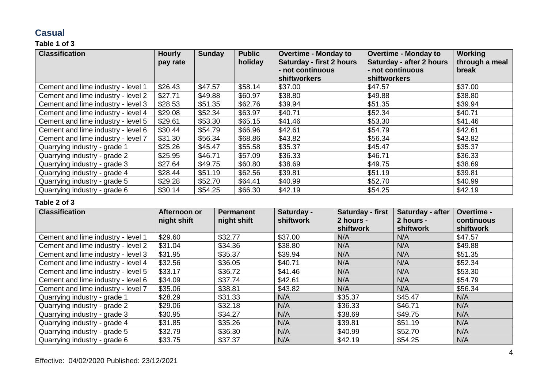## **Casual**

#### **Table 1 of 3**

| <b>Classification</b>              | <b>Hourly</b><br>pay rate | <b>Sunday</b> | <b>Public</b><br>holiday | <b>Overtime - Monday to</b><br><b>Saturday - first 2 hours</b><br>- not continuous<br><b>shiftworkers</b> | <b>Overtime - Monday to</b><br>Saturday - after 2 hours<br>- not continuous<br><b>shiftworkers</b> | <b>Working</b><br>through a meal<br>break |
|------------------------------------|---------------------------|---------------|--------------------------|-----------------------------------------------------------------------------------------------------------|----------------------------------------------------------------------------------------------------|-------------------------------------------|
| Cement and lime industry - level 1 | \$26.43                   | \$47.57       | \$58.14                  | \$37.00                                                                                                   | \$47.57                                                                                            | \$37.00                                   |
| Cement and lime industry - level 2 | \$27.71                   | \$49.88       | \$60.97                  | \$38.80                                                                                                   | \$49.88                                                                                            | \$38.80                                   |
| Cement and lime industry - level 3 | \$28.53                   | \$51.35       | \$62.76                  | \$39.94                                                                                                   | \$51.35                                                                                            | \$39.94                                   |
| Cement and lime industry - level 4 | \$29.08                   | \$52.34       | \$63.97                  | \$40.71                                                                                                   | \$52.34                                                                                            | \$40.71                                   |
| Cement and lime industry - level 5 | \$29.61                   | \$53.30       | \$65.15                  | \$41.46                                                                                                   | \$53.30                                                                                            | \$41.46                                   |
| Cement and lime industry - level 6 | \$30.44                   | \$54.79       | \$66.96                  | \$42.61                                                                                                   | \$54.79                                                                                            | \$42.61                                   |
| Cement and lime industry - level 7 | \$31.30                   | \$56.34       | \$68.86                  | \$43.82                                                                                                   | \$56.34                                                                                            | \$43.82                                   |
| Quarrying industry - grade 1       | \$25.26                   | \$45.47       | \$55.58                  | \$35.37                                                                                                   | \$45.47                                                                                            | \$35.37                                   |
| Quarrying industry - grade 2       | \$25.95                   | \$46.71       | \$57.09                  | \$36.33                                                                                                   | \$46.71                                                                                            | \$36.33                                   |
| Quarrying industry - grade 3       | \$27.64                   | \$49.75       | \$60.80                  | \$38.69                                                                                                   | \$49.75                                                                                            | \$38.69                                   |
| Quarrying industry - grade 4       | \$28.44                   | \$51.19       | \$62.56                  | \$39.81                                                                                                   | \$51.19                                                                                            | \$39.81                                   |
| Quarrying industry - grade 5       | \$29.28                   | \$52.70       | \$64.41                  | \$40.99                                                                                                   | \$52.70                                                                                            | \$40.99                                   |
| Quarrying industry - grade 6       | \$30.14                   | \$54.25       | \$66.30                  | \$42.19                                                                                                   | \$54.25                                                                                            | \$42.19                                   |

#### **Table 2 of 3**

| <b>Classification</b>              | Afternoon or | <b>Permanent</b> | Saturday - | Saturday - first | Saturday - after | Overtime - |
|------------------------------------|--------------|------------------|------------|------------------|------------------|------------|
|                                    | night shift  | night shift      | shiftwork  | 2 hours -        | 2 hours -        | continuous |
|                                    |              |                  |            | shiftwork        | shiftwork        | shiftwork  |
| Cement and lime industry - level 1 | \$29.60      | \$32.77          | \$37.00    | N/A              | N/A              | \$47.57    |
| Cement and lime industry - level 2 | \$31.04      | \$34.36          | \$38.80    | N/A              | N/A              | \$49.88    |
| Cement and lime industry - level 3 | \$31.95      | \$35.37          | \$39.94    | N/A              | N/A              | \$51.35    |
| Cement and lime industry - level 4 | \$32.56      | \$36.05          | \$40.71    | N/A              | N/A              | \$52.34    |
| Cement and lime industry - level 5 | \$33.17      | \$36.72          | \$41.46    | N/A              | N/A              | \$53.30    |
| Cement and lime industry - level 6 | \$34.09      | \$37.74          | \$42.61    | N/A              | N/A              | \$54.79    |
| Cement and lime industry - level 7 | \$35.06      | \$38.81          | \$43.82    | N/A              | N/A              | \$56.34    |
| Quarrying industry - grade 1       | \$28.29      | \$31.33          | N/A        | \$35.37          | \$45.47          | N/A        |
| Quarrying industry - grade 2       | \$29.06      | \$32.18          | N/A        | \$36.33          | \$46.71          | N/A        |
| Quarrying industry - grade 3       | \$30.95      | \$34.27          | N/A        | \$38.69          | \$49.75          | N/A        |
| Quarrying industry - grade 4       | \$31.85      | \$35.26          | N/A        | \$39.81          | \$51.19          | N/A        |
| Quarrying industry - grade 5       | \$32.79      | \$36.30          | N/A        | \$40.99          | \$52.70          | N/A        |
| Quarrying industry - grade 6       | \$33.75      | \$37.37          | N/A        | \$42.19          | \$54.25          | N/A        |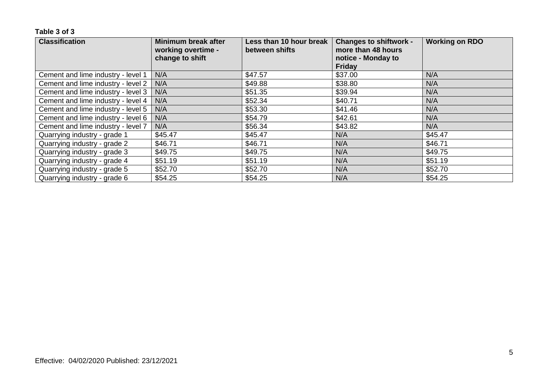#### **Table 3 of 3**

| <b>Classification</b>              | <b>Minimum break after</b><br>working overtime -<br>change to shift | Less than 10 hour break<br>between shifts | <b>Changes to shiftwork -</b><br>more than 48 hours<br>notice - Monday to<br><b>Friday</b> | <b>Working on RDO</b> |
|------------------------------------|---------------------------------------------------------------------|-------------------------------------------|--------------------------------------------------------------------------------------------|-----------------------|
| Cement and lime industry - level 1 | N/A                                                                 | \$47.57                                   | \$37.00                                                                                    | N/A                   |
| Cement and lime industry - level 2 | N/A                                                                 | \$49.88                                   | \$38.80                                                                                    | N/A                   |
| Cement and lime industry - level 3 | N/A                                                                 | \$51.35                                   | \$39.94                                                                                    | N/A                   |
| Cement and lime industry - level 4 | N/A                                                                 | \$52.34                                   | \$40.71                                                                                    | N/A                   |
| Cement and lime industry - level 5 | N/A                                                                 | \$53.30                                   | \$41.46                                                                                    | N/A                   |
| Cement and lime industry - level 6 | N/A                                                                 | \$54.79                                   | \$42.61                                                                                    | N/A                   |
| Cement and lime industry - level 7 | N/A                                                                 | \$56.34                                   | \$43.82                                                                                    | N/A                   |
| Quarrying industry - grade 1       | \$45.47                                                             | \$45.47                                   | N/A                                                                                        | \$45.47               |
| Quarrying industry - grade 2       | \$46.71                                                             | \$46.71                                   | N/A                                                                                        | \$46.71               |
| Quarrying industry - grade 3       | \$49.75                                                             | \$49.75                                   | N/A                                                                                        | \$49.75               |
| Quarrying industry - grade 4       | \$51.19                                                             | \$51.19                                   | N/A                                                                                        | \$51.19               |
| Quarrying industry - grade 5       | \$52.70                                                             | \$52.70                                   | N/A                                                                                        | \$52.70               |
| Quarrying industry - grade 6       | \$54.25                                                             | \$54.25                                   | N/A                                                                                        | \$54.25               |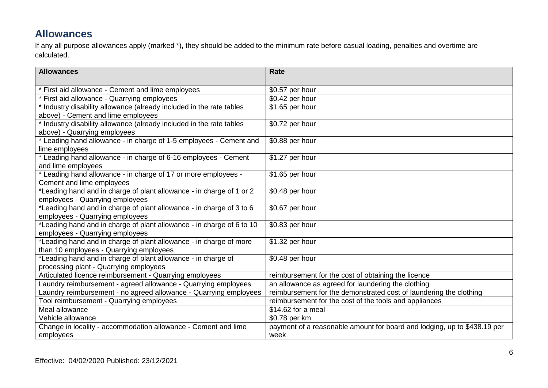# **Allowances**

If any all purpose allowances apply (marked \*), they should be added to the minimum rate before casual loading, penalties and overtime are calculated.

| <b>Allowances</b>                                                     | <b>Rate</b>                                                              |
|-----------------------------------------------------------------------|--------------------------------------------------------------------------|
|                                                                       |                                                                          |
| First aid allowance - Cement and lime employees                       | \$0.57 per hour                                                          |
| First aid allowance - Quarrying employees                             | \$0.42 per hour                                                          |
| Industry disability allowance (already included in the rate tables    | \$1.65 per hour                                                          |
| above) - Cement and lime employees                                    |                                                                          |
| Industry disability allowance (already included in the rate tables    | \$0.72 per hour                                                          |
| above) - Quarrying employees                                          |                                                                          |
| Leading hand allowance - in charge of 1-5 employees - Cement and      | \$0.88 per hour                                                          |
| lime employees                                                        |                                                                          |
| Leading hand allowance - in charge of 6-16 employees - Cement         | \$1.27 per hour                                                          |
| and lime employees                                                    |                                                                          |
| Leading hand allowance - in charge of 17 or more employees -          | \$1.65 per hour                                                          |
| Cement and lime employees                                             |                                                                          |
| *Leading hand and in charge of plant allowance - in charge of 1 or 2  | \$0.48 per hour                                                          |
| employees - Quarrying employees                                       |                                                                          |
| *Leading hand and in charge of plant allowance - in charge of 3 to 6  | \$0.67 per hour                                                          |
| employees - Quarrying employees                                       |                                                                          |
| *Leading hand and in charge of plant allowance - in charge of 6 to 10 | \$0.83 per hour                                                          |
| employees - Quarrying employees                                       |                                                                          |
| *Leading hand and in charge of plant allowance - in charge of more    | \$1.32 per hour                                                          |
| than 10 employees - Quarrying employees                               |                                                                          |
| *Leading hand and in charge of plant allowance - in charge of         | \$0.48 per hour                                                          |
| processing plant - Quarrying employees                                |                                                                          |
| Articulated licence reimbursement - Quarrying employees               | reimbursement for the cost of obtaining the licence                      |
| Laundry reimbursement - agreed allowance - Quarrying employees        | an allowance as agreed for laundering the clothing                       |
| Laundry reimbursement - no agreed allowance - Quarrying employees     | reimbursement for the demonstrated cost of laundering the clothing       |
| Tool reimbursement - Quarrying employees                              | reimbursement for the cost of the tools and appliances                   |
| Meal allowance                                                        | \$14.62 for a meal                                                       |
| Vehicle allowance                                                     | \$0.78 per km                                                            |
| Change in locality - accommodation allowance - Cement and lime        | payment of a reasonable amount for board and lodging, up to \$438.19 per |
| employees                                                             | week                                                                     |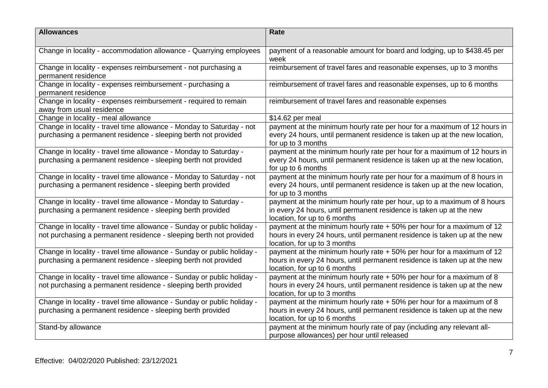| <b>Allowances</b>                                                                                                                             | Rate                                                                                                                                                                               |
|-----------------------------------------------------------------------------------------------------------------------------------------------|------------------------------------------------------------------------------------------------------------------------------------------------------------------------------------|
| Change in locality - accommodation allowance - Quarrying employees                                                                            | payment of a reasonable amount for board and lodging, up to \$438.45 per<br>week                                                                                                   |
| Change in locality - expenses reimbursement - not purchasing a<br>permanent residence                                                         | reimbursement of travel fares and reasonable expenses, up to 3 months                                                                                                              |
| Change in locality - expenses reimbursement - purchasing a<br>permanent residence                                                             | reimbursement of travel fares and reasonable expenses, up to 6 months                                                                                                              |
| Change in locality - expenses reimbursement - required to remain<br>away from usual residence                                                 | reimbursement of travel fares and reasonable expenses                                                                                                                              |
| Change in locality - meal allowance                                                                                                           | \$14.62 per meal                                                                                                                                                                   |
| Change in locality - travel time allowance - Monday to Saturday - not<br>purchasing a permanent residence - sleeping berth not provided       | payment at the minimum hourly rate per hour for a maximum of 12 hours in<br>every 24 hours, until permanent residence is taken up at the new location,<br>for up to 3 months       |
| Change in locality - travel time allowance - Monday to Saturday -<br>purchasing a permanent residence - sleeping berth not provided           | payment at the minimum hourly rate per hour for a maximum of 12 hours in<br>every 24 hours, until permanent residence is taken up at the new location,<br>for up to 6 months       |
| Change in locality - travel time allowance - Monday to Saturday - not<br>purchasing a permanent residence - sleeping berth provided           | payment at the minimum hourly rate per hour for a maximum of 8 hours in<br>every 24 hours, until permanent residence is taken up at the new location,<br>for up to 3 months        |
| Change in locality - travel time allowance - Monday to Saturday -<br>purchasing a permanent residence - sleeping berth provided               | payment at the minimum hourly rate per hour, up to a maximum of 8 hours<br>in every 24 hours, until permanent residence is taken up at the new<br>location, for up to 6 months     |
| Change in locality - travel time allowance - Sunday or public holiday -<br>not purchasing a permanent residence - sleeping berth not provided | payment at the minimum hourly rate + 50% per hour for a maximum of 12<br>hours in every 24 hours, until permanent residence is taken up at the new<br>location, for up to 3 months |
| Change in locality - travel time allowance - Sunday or public holiday -<br>purchasing a permanent residence - sleeping berth not provided     | payment at the minimum hourly rate + 50% per hour for a maximum of 12<br>hours in every 24 hours, until permanent residence is taken up at the new<br>location, for up to 6 months |
| Change in locality - travel time allowance - Sunday or public holiday -<br>not purchasing a permanent residence - sleeping berth provided     | payment at the minimum hourly rate + 50% per hour for a maximum of 8<br>hours in every 24 hours, until permanent residence is taken up at the new<br>location, for up to 3 months  |
| Change in locality - travel time allowance - Sunday or public holiday -<br>purchasing a permanent residence - sleeping berth provided         | payment at the minimum hourly rate + 50% per hour for a maximum of 8<br>hours in every 24 hours, until permanent residence is taken up at the new<br>location, for up to 6 months  |
| Stand-by allowance                                                                                                                            | payment at the minimum hourly rate of pay (including any relevant all-<br>purpose allowances) per hour until released                                                              |